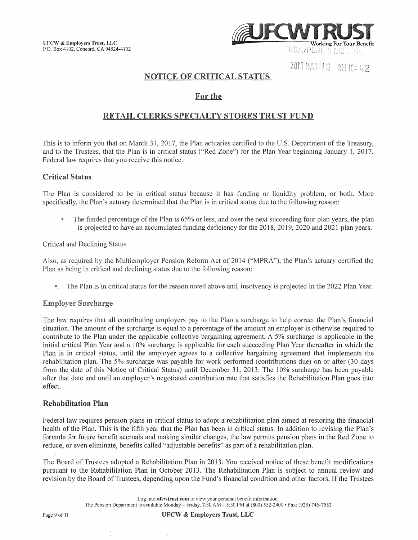

2017 MAY 10 AM 10: 42

# NOTICE OF CRITICAL STATUS

## For the

## RETAIL CLERKS SPECIALTY STORES TRUST FUND

This is to inform you that on March 31, 2017, the Plan actuaries certified to the U.S. Department of the Treasury, and to the Trustees, that the Plan is in critical status ("Red Zone") for the Plan Year beginning January 1, 2017. Federal law requires that you receive this notice.

## Critical Status

The Plan is considered to be in critical status because it has funding or liquidity problem, or both. More specifically, the Plan's actuary determined that the Plan is in critical status due to the following reason:

The funded percentage of the Plan is 65% or less, and over the next succeeding four plan years, the plan is projected to have an accumulated funding deficiency for the 2018, 2019, 2020 and 2021 plan years.

Critical and Declining Status

Also, as required by the Multiemployer Pension Reform Act of 2014 ("MPRA"), the Plan's actuary certified the Plan as being in critical and declining status due to the following reason:

• The Plan is in critical status for the reason noted above and, insolvency is projected in the 2022 Plan Year.

#### Employer Surcharge

The law requires that all contributing employers pay to the Plan a surcharge to help correct the Plan's financial situation. The amount of the surcharge is equal to a percentage of the amount an employer is otherwise required to contribute to the Plan under the applicable collective bargaining agreement. A 5% surcharge is applicable in the initial critical Plan Year and a 10% surcharge is applicable for each succeeding Plan Year thereafter in which the Plan is in critical status, until the employer agrees to a collective bargaining agreement that implements the rehabilitation plan. The 5% surcharge was payable for work performed (contributions due) on or after (30 days from the date of this Notice of Critical Status) until December 31, 2013. The 10% surcharge has been payable after that date and until an employer's negotiated contribution rate that satisfies the Rehabilitation Plan goes into effect.

#### Rehabilitation Plan

Federal law requires pension plans in critical status to adopt a rehabilitation plan aimed at restoring the financial health of the Plan. This is the fifth year that the Plan has been in critical status. In addition to revising the Plan's formula for future benefit accruals and making similar changes, the law permits pension plans in the Red Zone to reduce, or even eliminate, benefits called "adjustable benefits" as part of a rehabilitation plan.

The Board of Trustees adopted a Rehabilitation Plan in 2013. You received notice of these benefit modifications pursuant to the Rehabilitation Plan in October 2013. The Rehabilitation Plan is subject to annual review and revision by the Board of Trustees, depending upon the Fund's financial condition and other factors. If the Trustees